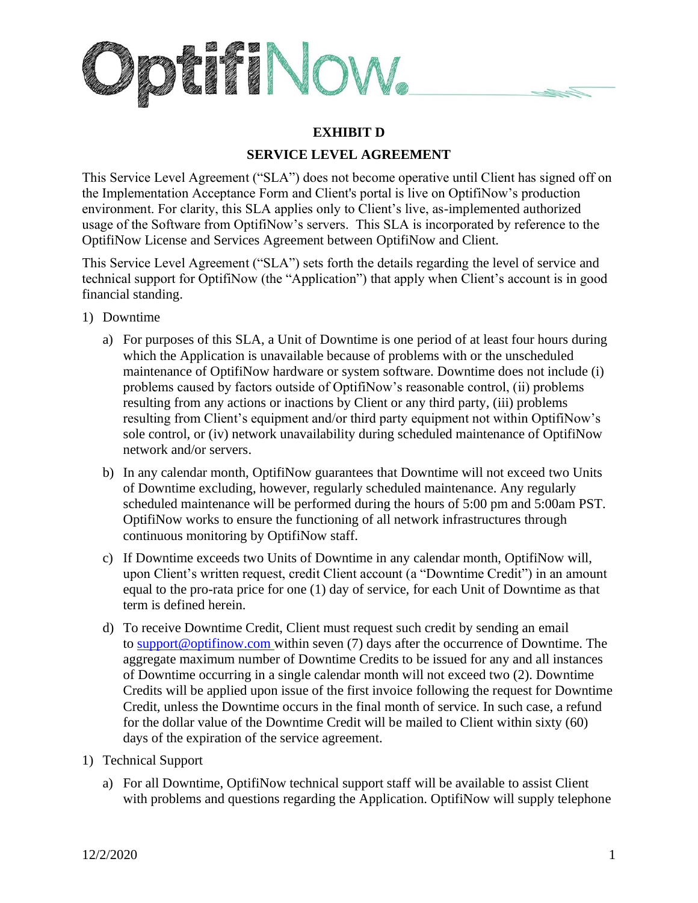

## **EXHIBIT D**

## **SERVICE LEVEL AGREEMENT**

This Service Level Agreement ("SLA") does not become operative until Client has signed off on the Implementation Acceptance Form and Client's portal is live on OptifiNow's production environment. For clarity, this SLA applies only to Client's live, as-implemented authorized usage of the Software from OptifiNow's servers. This SLA is incorporated by reference to the OptifiNow License and Services Agreement between OptifiNow and Client.

This Service Level Agreement ("SLA") sets forth the details regarding the level of service and technical support for OptifiNow (the "Application") that apply when Client's account is in good financial standing.

- 1) Downtime
	- a) For purposes of this SLA, a Unit of Downtime is one period of at least four hours during which the Application is unavailable because of problems with or the unscheduled maintenance of OptifiNow hardware or system software. Downtime does not include (i) problems caused by factors outside of OptifiNow's reasonable control, (ii) problems resulting from any actions or inactions by Client or any third party, (iii) problems resulting from Client's equipment and/or third party equipment not within OptifiNow's sole control, or (iv) network unavailability during scheduled maintenance of OptifiNow network and/or servers.
	- b) In any calendar month, OptifiNow guarantees that Downtime will not exceed two Units of Downtime excluding, however, regularly scheduled maintenance. Any regularly scheduled maintenance will be performed during the hours of 5:00 pm and 5:00am PST. OptifiNow works to ensure the functioning of all network infrastructures through continuous monitoring by OptifiNow staff.
	- c) If Downtime exceeds two Units of Downtime in any calendar month, OptifiNow will, upon Client's written request, credit Client account (a "Downtime Credit") in an amount equal to the pro-rata price for one (1) day of service, for each Unit of Downtime as that term is defined herein.
	- d) To receive Downtime Credit, Client must request such credit by sending an email to [support@optifinow.com](https://optifinow.com/sla/) within seven (7) days after the occurrence of Downtime. The aggregate maximum number of Downtime Credits to be issued for any and all instances of Downtime occurring in a single calendar month will not exceed two (2). Downtime Credits will be applied upon issue of the first invoice following the request for Downtime Credit, unless the Downtime occurs in the final month of service. In such case, a refund for the dollar value of the Downtime Credit will be mailed to Client within sixty (60) days of the expiration of the service agreement.
- 1) Technical Support
	- a) For all Downtime, OptifiNow technical support staff will be available to assist Client with problems and questions regarding the Application. OptifiNow will supply telephone